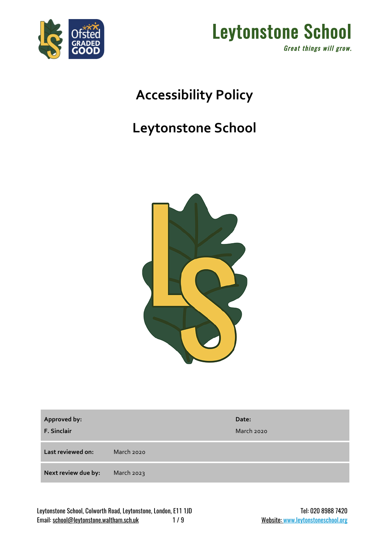



## **Accessibility Policy**

## **Leytonstone School**



| Approved by:<br><b>F. Sinclair</b> |            | Date:<br>March 2020 |
|------------------------------------|------------|---------------------|
| Last reviewed on:                  | March 2020 |                     |
| Next review due by:                | March 2023 |                     |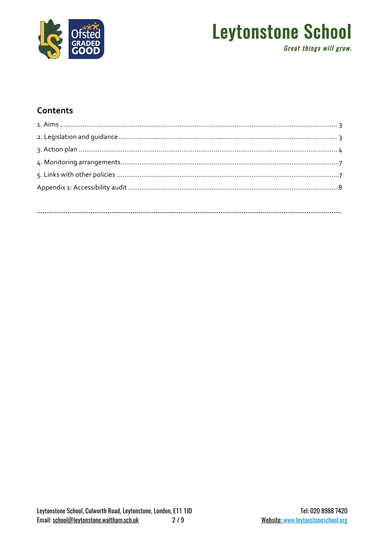

### **Leytonstone School Great things will grow.**

### Contents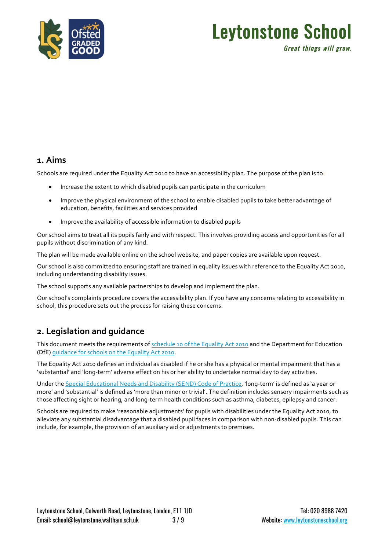

### Leytonstone School Great things will grow.

#### **1. Aims**

Schools are required under the Equality Act 2010 to have an accessibility plan. The purpose of the plan is to:

- Increase the extent to which disabled pupils can participate in the curriculum
- Improve the physical environment of the school to enable disabled pupils to take better advantage of education, benefits, facilities and services provided
- Improve the availability of accessible information to disabled pupils

Our school aims to treat all its pupils fairly and with respect. This involves providing access and opportunities for all pupils without discrimination of any kind.

The plan will be made available online on the school website, and paper copies are available upon request.

Our school is also committed to ensuring staff are trained in equality issues with reference to the Equality Act 2010, including understanding disability issues.

The school supports any available partnerships to develop and implement the plan.

Our school's complaints procedure covers the accessibility plan. If you have any concerns relating to accessibility in school, this procedure sets out the process for raising these concerns.

#### **2. Legislation and guidance**

This document meets the requirements of schedule 10 of the Equality Act 2010 and the Department for Education (DfE) guidance for schools on the Equality Act 2010.

The Equality Act 2010 defines an individual as disabled if he or she has a physical or mental impairment that has a 'substantial' and 'long-term' adverse effect on his or her ability to undertake normal day to day activities.

Under the Special Educational Needs and Disability (SEND) Code of Practice, 'long-term' is defined as 'a year or more' and 'substantial' is defined as 'more than minor or trivial'. The definition includes sensory impairments such as those affecting sight or hearing, and long-term health conditions such as asthma, diabetes, epilepsy and cancer.

Schools are required to make 'reasonable adjustments' for pupils with disabilities under the Equality Act 2010, to alleviate any substantial disadvantage that a disabled pupil faces in comparison with non-disabled pupils. This can include, for example, the provision of an auxiliary aid or adjustments to premises.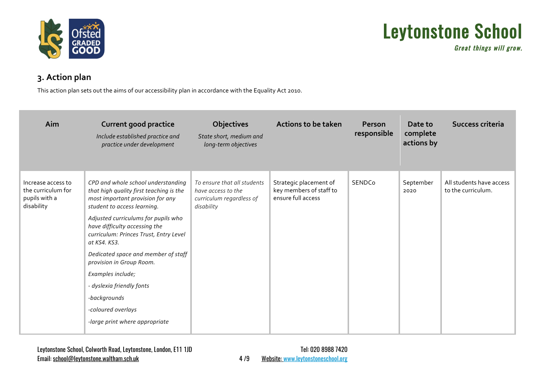

Great things will grow.

### **3. Action plan**

This action plan sets out the aims of our accessibility plan in accordance with the Equality Act 2010.

| Aim                                                                     | <b>Current good practice</b><br>Include established practice and<br>practice under development                                                                                                                                                                                                                                                                                                                                                                                  | <b>Objectives</b><br>State short, medium and<br>long-term objectives                        | <b>Actions to be taken</b>                                              | <b>Person</b><br>responsible | Date to<br>complete<br>actions by | Success criteria                               |
|-------------------------------------------------------------------------|---------------------------------------------------------------------------------------------------------------------------------------------------------------------------------------------------------------------------------------------------------------------------------------------------------------------------------------------------------------------------------------------------------------------------------------------------------------------------------|---------------------------------------------------------------------------------------------|-------------------------------------------------------------------------|------------------------------|-----------------------------------|------------------------------------------------|
| Increase access to<br>the curriculum for<br>pupils with a<br>disability | CPD and whole school understanding<br>that high quality first teaching is the<br>most important provision for any<br>student to access learning.<br>Adjusted curriculums for pupils who<br>have difficulty accessing the<br>curriculum: Princes Trust, Entry Level<br>at KS4, KS3.<br>Dedicated space and member of staff<br>provision in Group Room.<br>Examples include;<br>- dyslexia friendly fonts<br>-backgrounds<br>-coloured overlays<br>-large print where appropriate | To ensure that all students<br>have access to the<br>curriculum regardless of<br>disability | Strategic placement of<br>key members of staff to<br>ensure full access | SENDCo                       | September<br>2020                 | All students have access<br>to the curriculum. |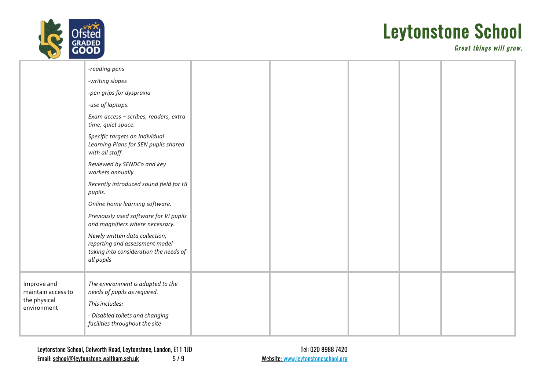

Great things will grow.

|                                                                  | -reading pens<br>-writing slopes<br>-pen grips for dyspraxia<br>-use of laptops.<br>Exam access - scribes, readers, extra<br>time, quiet space.<br>Specific targets on Individual<br>Learning Plans for SEN pupils shared                                                                                                                                          |  |  |  |
|------------------------------------------------------------------|--------------------------------------------------------------------------------------------------------------------------------------------------------------------------------------------------------------------------------------------------------------------------------------------------------------------------------------------------------------------|--|--|--|
|                                                                  | with all staff.<br>Reviewed by SENDCo and key<br>workers annually.<br>Recently introduced sound field for HI<br>pupils.<br>Online home learning software.<br>Previously used software for VI pupils<br>and magnifiers where necessary.<br>Newly written data collection,<br>reporting and assessment model<br>taking into consideration the needs of<br>all pupils |  |  |  |
| Improve and<br>maintain access to<br>the physical<br>environment | The environment is adapted to the<br>needs of pupils as required.<br>This includes:<br>- Disabled toilets and changing<br>facilities throughout the site                                                                                                                                                                                                           |  |  |  |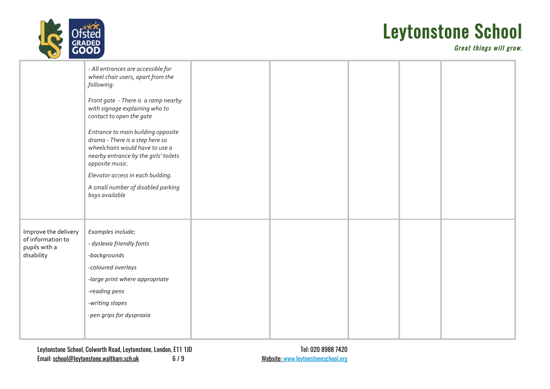

Great things will grow.

|                                                                          | - All entrances are accessible for<br>wheel chair users, apart from the<br>following:<br>Front gate - There is a ramp nearby<br>with signage explaining who to<br>contact to open the gate<br>Entrance to main building opposite<br>drama - There is a step here so<br>wheelchairs would have to use a<br>nearby entrance by the girls' toilets<br>opposite music.<br>Elevator access in each building.<br>A small number of disabled parking<br>bays available |  |  |  |
|--------------------------------------------------------------------------|-----------------------------------------------------------------------------------------------------------------------------------------------------------------------------------------------------------------------------------------------------------------------------------------------------------------------------------------------------------------------------------------------------------------------------------------------------------------|--|--|--|
| Improve the delivery<br>of information to<br>pupils with a<br>disability | Examples include;<br>- dyslexia friendly fonts<br>-backgrounds<br>-coloured overlays<br>-large print where appropriate<br>-reading pens<br>-writing slopes<br>-pen grips for dyspraxia                                                                                                                                                                                                                                                                          |  |  |  |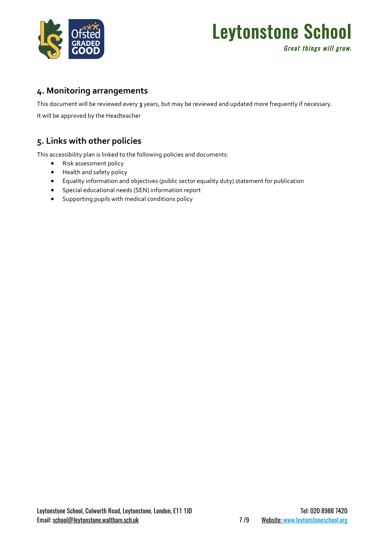

### Leytonstone School Great things will grow.

#### **4. Monitoring arrangements**

This document will be reviewed every **3** years, but may be reviewed and updated more frequently if necessary.

It will be approved by the Headteacher

### **5. Links with other policies**

This accessibility plan is linked to the following policies and documents:

- Risk assessment policy
- Health and safety policy
- Equality information and objectives (public sector equality duty) statement for publication
- Special educational needs (SEN) information report
- Supporting pupils with medical conditions policy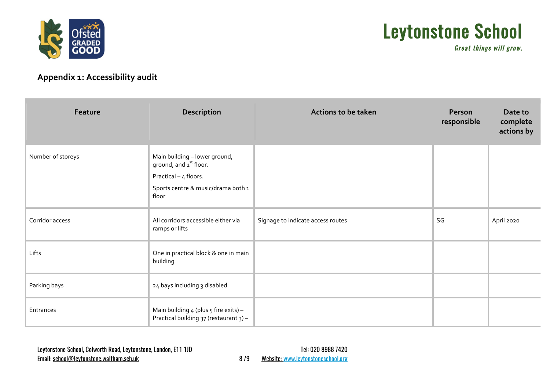

Great things will grow.

### **Appendix 1: Accessibility audit**

| Feature           | Description                                                                                                                                 | <b>Actions to be taken</b>        | Person<br>responsible | Date to<br>complete<br>actions by |
|-------------------|---------------------------------------------------------------------------------------------------------------------------------------------|-----------------------------------|-----------------------|-----------------------------------|
| Number of storeys | Main building - lower ground,<br>ground, and 1 <sup>st</sup> floor.<br>Practical - 4 floors.<br>Sports centre & music/drama both 1<br>floor |                                   |                       |                                   |
| Corridor access   | All corridors accessible either via<br>ramps or lifts                                                                                       | Signage to indicate access routes | SG                    | April 2020                        |
| Lifts             | One in practical block & one in main<br>building                                                                                            |                                   |                       |                                   |
| Parking bays      | 24 bays including 3 disabled                                                                                                                |                                   |                       |                                   |
| Entrances         | Main building $4$ (plus $5$ fire exits) -<br>Practical building 37 (restaurant 3) -                                                         |                                   |                       |                                   |